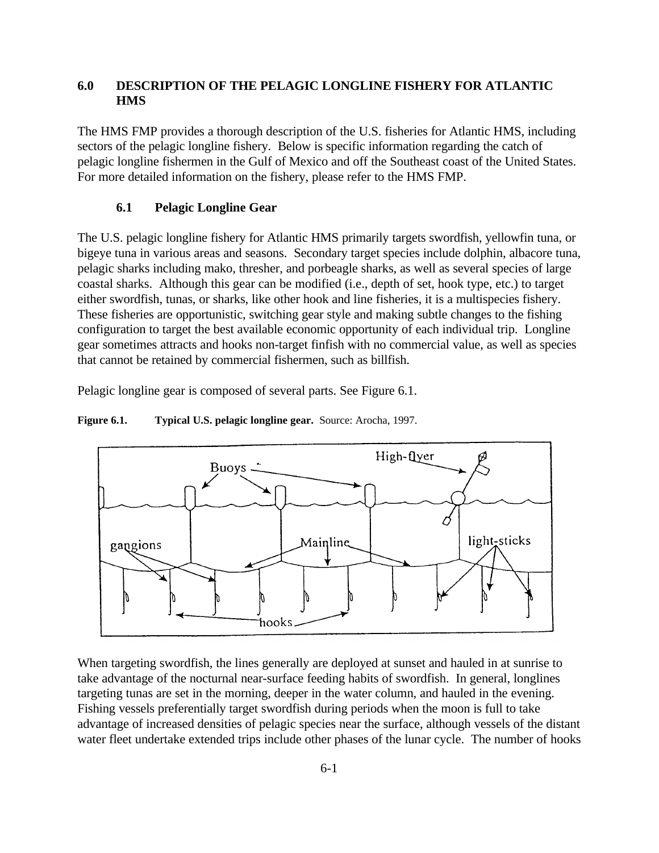# **6.0 DESCRIPTION OF THE PELAGIC LONGLINE FISHERY FOR ATLANTIC HMS**

The HMS FMP provides a thorough description of the U.S. fisheries for Atlantic HMS, including sectors of the pelagic longline fishery. Below is specific information regarding the catch of pelagic longline fishermen in the Gulf of Mexico and off the Southeast coast of the United States. For more detailed information on the fishery, please refer to the HMS FMP.

### **6.1 Pelagic Longline Gear**

The U.S. pelagic longline fishery for Atlantic HMS primarily targets swordfish, yellowfin tuna, or bigeye tuna in various areas and seasons. Secondary target species include dolphin, albacore tuna, pelagic sharks including mako, thresher, and porbeagle sharks, as well as several species of large coastal sharks. Although this gear can be modified (i.e., depth of set, hook type, etc.) to target either swordfish, tunas, or sharks, like other hook and line fisheries, it is a multispecies fishery. These fisheries are opportunistic, switching gear style and making subtle changes to the fishing configuration to target the best available economic opportunity of each individual trip. Longline gear sometimes attracts and hooks non-target finfish with no commercial value, as well as species that cannot be retained by commercial fishermen, such as billfish.

Pelagic longline gear is composed of several parts. See Figure 6.1.



**Figure 6.1.** Typical U.S. pelagic longline gear. Source: Arocha, 1997.

When targeting swordfish, the lines generally are deployed at sunset and hauled in at sunrise to take advantage of the nocturnal near-surface feeding habits of swordfish. In general, longlines targeting tunas are set in the morning, deeper in the water column, and hauled in the evening. Fishing vessels preferentially target swordfish during periods when the moon is full to take advantage of increased densities of pelagic species near the surface, although vessels of the distant water fleet undertake extended trips include other phases of the lunar cycle. The number of hooks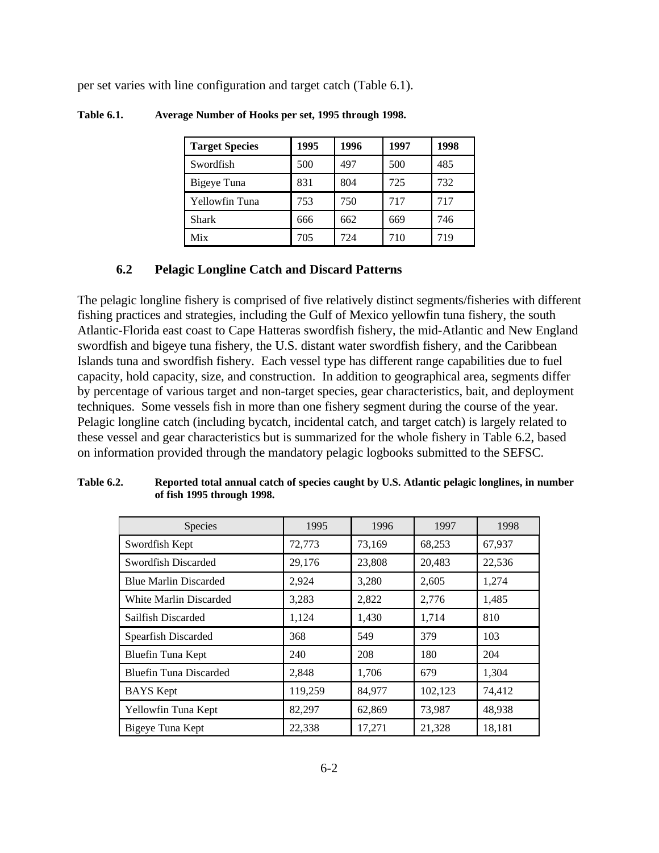per set varies with line configuration and target catch (Table 6.1).

| <b>Target Species</b> | 1995 | 1996 | 1997 | 1998 |
|-----------------------|------|------|------|------|
| Swordfish             | 500  | 497  | 500  | 485  |
| Bigeye Tuna           | 831  | 804  | 725  | 732  |
| Yellowfin Tuna        | 753  | 750  | 717  | 717  |
| Shark                 | 666  | 662  | 669  | 746  |
| Mix                   | 705  | 724  | 710  | 719  |

**Table 6.1. Average Number of Hooks per set, 1995 through 1998.** 

## **6.2 Pelagic Longline Catch and Discard Patterns**

The pelagic longline fishery is comprised of five relatively distinct segments/fisheries with different fishing practices and strategies, including the Gulf of Mexico yellowfin tuna fishery, the south Atlantic-Florida east coast to Cape Hatteras swordfish fishery, the mid-Atlantic and New England swordfish and bigeye tuna fishery, the U.S. distant water swordfish fishery, and the Caribbean Islands tuna and swordfish fishery. Each vessel type has different range capabilities due to fuel capacity, hold capacity, size, and construction. In addition to geographical area, segments differ by percentage of various target and non-target species, gear characteristics, bait, and deployment techniques. Some vessels fish in more than one fishery segment during the course of the year. Pelagic longline catch (including bycatch, incidental catch, and target catch) is largely related to these vessel and gear characteristics but is summarized for the whole fishery in Table 6.2, based on information provided through the mandatory pelagic logbooks submitted to the SEFSC.

| <b>Species</b>                | 1995    | 1996   | 1997    | 1998   |
|-------------------------------|---------|--------|---------|--------|
| Swordfish Kept                | 72,773  | 73,169 | 68,253  | 67,937 |
| Swordfish Discarded           | 29,176  | 23,808 | 20,483  | 22,536 |
| <b>Blue Marlin Discarded</b>  | 2,924   | 3,280  | 2,605   | 1,274  |
| White Marlin Discarded        | 3,283   | 2,822  | 2,776   | 1,485  |
| Sailfish Discarded            | 1,124   | 1,430  | 1,714   | 810    |
| Spearfish Discarded           | 368     | 549    | 379     | 103    |
| Bluefin Tuna Kept             | 240     | 208    | 180     | 204    |
| <b>Bluefin Tuna Discarded</b> | 2,848   | 1,706  | 679     | 1,304  |
| <b>BAYS</b> Kept              | 119,259 | 84,977 | 102,123 | 74,412 |
| Yellowfin Tuna Kept           | 82,297  | 62,869 | 73,987  | 48,938 |
| Bigeye Tuna Kept              | 22,338  | 17,271 | 21,328  | 18,181 |

**Table 6.2. Reported total annual catch of species caught by U.S. Atlantic pelagic longlines, in number of fish 1995 through 1998.**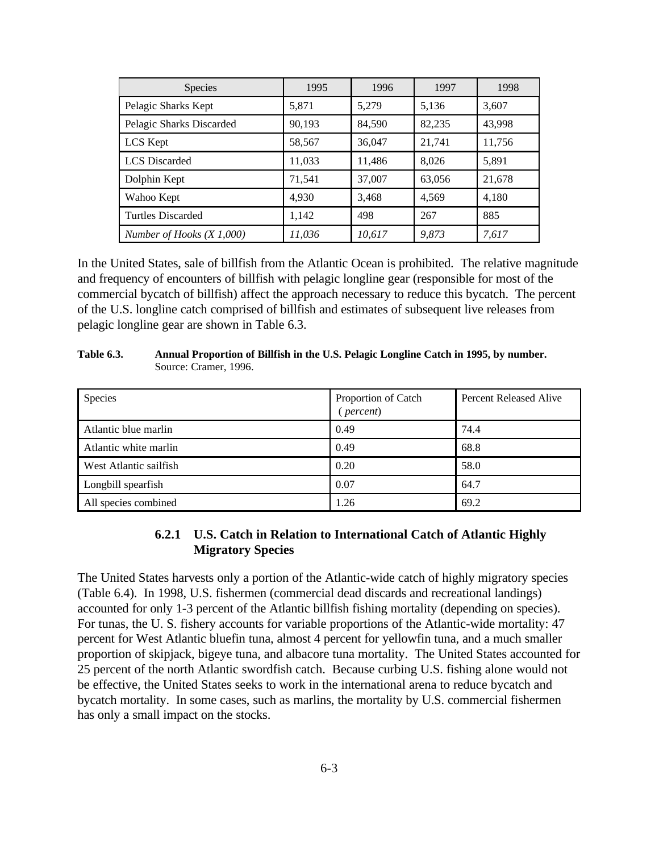| <b>Species</b>             | 1995   | 1996   | 1997   | 1998   |
|----------------------------|--------|--------|--------|--------|
| Pelagic Sharks Kept        | 5,871  | 5,279  | 5,136  | 3,607  |
| Pelagic Sharks Discarded   | 90,193 | 84,590 | 82,235 | 43,998 |
| LCS Kept                   | 58,567 | 36,047 | 21,741 | 11,756 |
| <b>LCS</b> Discarded       | 11,033 | 11,486 | 8,026  | 5,891  |
| Dolphin Kept               | 71,541 | 37,007 | 63,056 | 21,678 |
| Wahoo Kept                 | 4,930  | 3,468  | 4,569  | 4,180  |
| <b>Turtles Discarded</b>   | 1,142  | 498    | 267    | 885    |
| Number of Hooks $(X1,000)$ | 11,036 | 10,617 | 9,873  | 7,617  |

In the United States, sale of billfish from the Atlantic Ocean is prohibited. The relative magnitude and frequency of encounters of billfish with pelagic longline gear (responsible for most of the commercial bycatch of billfish) affect the approach necessary to reduce this bycatch. The percent of the U.S. longline catch comprised of billfish and estimates of subsequent live releases from pelagic longline gear are shown in Table 6.3.

| $boundv$ . $Ciamv$ , $1770$ . |                                              |                        |
|-------------------------------|----------------------------------------------|------------------------|
| Species                       | Proportion of Catch<br>$\frac{1}{2}$ percent | Percent Released Alive |
| Atlantic blue marlin          | 0.49                                         | 74.4                   |
| Atlantic white marlin         | 0.49                                         | 68.8                   |
| West Atlantic sailfish        | 0.20                                         | 58.0                   |
|                               |                                              |                        |

**Table 6.3. Annual Proportion of Billfish in the U.S. Pelagic Longline Catch in 1995, by number.**  Source: Cramer, 1996.

Longbill spearfish 64.7 All species combined 1.26 69.2

# **6.2.1 U.S. Catch in Relation to International Catch of Atlantic Highly Migratory Species**

The United States harvests only a portion of the Atlantic-wide catch of highly migratory species (Table 6.4). In 1998, U.S. fishermen (commercial dead discards and recreational landings) accounted for only 1-3 percent of the Atlantic billfish fishing mortality (depending on species). For tunas, the U. S. fishery accounts for variable proportions of the Atlantic-wide mortality: 47 percent for West Atlantic bluefin tuna, almost 4 percent for yellowfin tuna, and a much smaller proportion of skipjack, bigeye tuna, and albacore tuna mortality. The United States accounted for 25 percent of the north Atlantic swordfish catch. Because curbing U.S. fishing alone would not be effective, the United States seeks to work in the international arena to reduce bycatch and bycatch mortality. In some cases, such as marlins, the mortality by U.S. commercial fishermen has only a small impact on the stocks.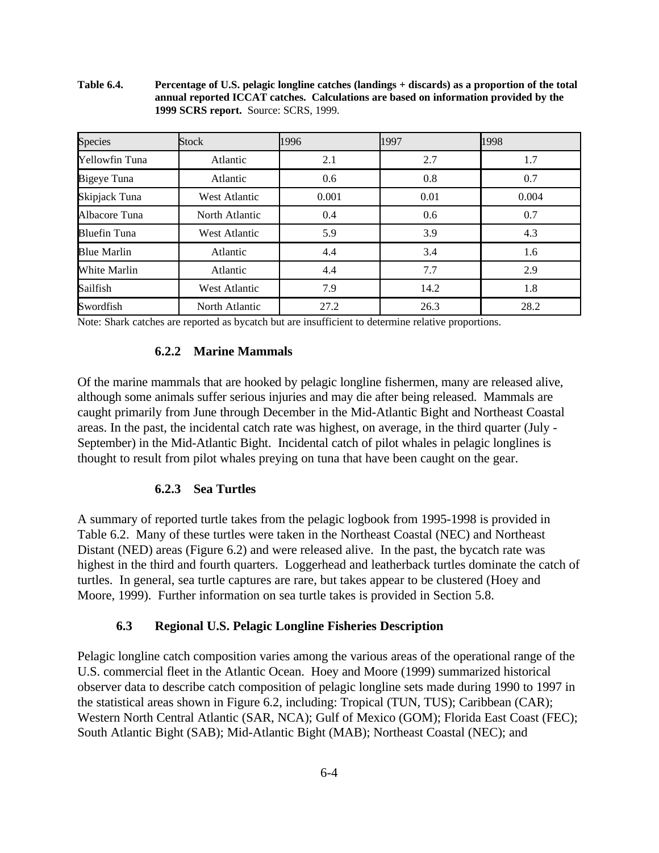**Table 6.4. Percentage of U.S. pelagic longline catches (landings + discards) as a proportion of the total annual reported ICCAT catches. Calculations are based on information provided by the 1999 SCRS report.** Source: SCRS, 1999.

| Species             | <b>Stock</b>   | 1996  | 1997 | 1998  |
|---------------------|----------------|-------|------|-------|
| Yellowfin Tuna      | Atlantic       | 2.1   | 2.7  | 1.7   |
| Bigeye Tuna         | Atlantic       | 0.6   | 0.8  | 0.7   |
| Skipjack Tuna       | West Atlantic  | 0.001 | 0.01 | 0.004 |
| Albacore Tuna       | North Atlantic | 0.4   | 0.6  | 0.7   |
| <b>Bluefin Tuna</b> | West Atlantic  | 5.9   | 3.9  | 4.3   |
| <b>Blue Marlin</b>  | Atlantic       | 4.4   | 3.4  | 1.6   |
| White Marlin        | Atlantic       | 4.4   | 7.7  | 2.9   |
| Sailfish            | West Atlantic  | 7.9   | 14.2 | 1.8   |
| Swordfish           | North Atlantic | 27.2  | 26.3 | 28.2  |

Note: Shark catches are reported as bycatch but are insufficient to determine relative proportions.

#### **6.2.2 Marine Mammals**

Of the marine mammals that are hooked by pelagic longline fishermen, many are released alive, although some animals suffer serious injuries and may die after being released. Mammals are caught primarily from June through December in the Mid-Atlantic Bight and Northeast Coastal areas. In the past, the incidental catch rate was highest, on average, in the third quarter (July - September) in the Mid-Atlantic Bight. Incidental catch of pilot whales in pelagic longlines is thought to result from pilot whales preying on tuna that have been caught on the gear.

### **6.2.3 Sea Turtles**

A summary of reported turtle takes from the pelagic logbook from 1995-1998 is provided in Table 6.2. Many of these turtles were taken in the Northeast Coastal (NEC) and Northeast Distant (NED) areas (Figure 6.2) and were released alive. In the past, the bycatch rate was highest in the third and fourth quarters. Loggerhead and leatherback turtles dominate the catch of turtles. In general, sea turtle captures are rare, but takes appear to be clustered (Hoey and Moore, 1999). Further information on sea turtle takes is provided in Section 5.8.

#### **6.3 Regional U.S. Pelagic Longline Fisheries Description**

Pelagic longline catch composition varies among the various areas of the operational range of the U.S. commercial fleet in the Atlantic Ocean. Hoey and Moore (1999) summarized historical observer data to describe catch composition of pelagic longline sets made during 1990 to 1997 in the statistical areas shown in Figure 6.2, including: Tropical (TUN, TUS); Caribbean (CAR); Western North Central Atlantic (SAR, NCA); Gulf of Mexico (GOM); Florida East Coast (FEC); South Atlantic Bight (SAB); Mid-Atlantic Bight (MAB); Northeast Coastal (NEC); and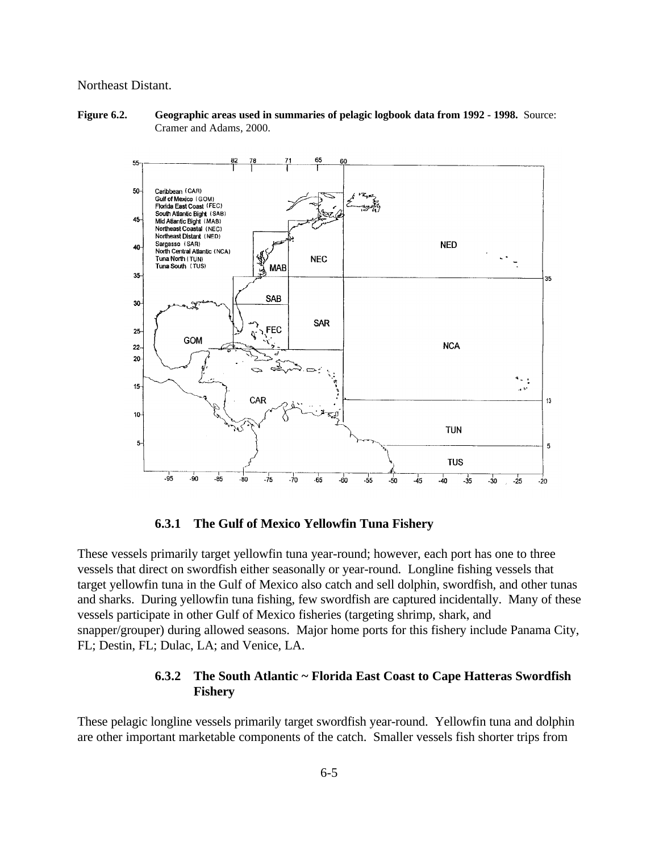#### Northeast Distant.

**Figure 6.2. Geographic areas used in summaries of pelagic logbook data from 1992 - 1998.** Source: Cramer and Adams, 2000.



**6.3.1 The Gulf of Mexico Yellowfin Tuna Fishery** 

These vessels primarily target yellowfin tuna year-round; however, each port has one to three vessels that direct on swordfish either seasonally or year-round. Longline fishing vessels that target yellowfin tuna in the Gulf of Mexico also catch and sell dolphin, swordfish, and other tunas and sharks. During yellowfin tuna fishing, few swordfish are captured incidentally. Many of these vessels participate in other Gulf of Mexico fisheries (targeting shrimp, shark, and snapper/grouper) during allowed seasons. Major home ports for this fishery include Panama City, FL; Destin, FL; Dulac, LA; and Venice, LA.

# **6.3.2 The South Atlantic ~ Florida East Coast to Cape Hatteras Swordfish Fishery**

These pelagic longline vessels primarily target swordfish year-round. Yellowfin tuna and dolphin are other important marketable components of the catch. Smaller vessels fish shorter trips from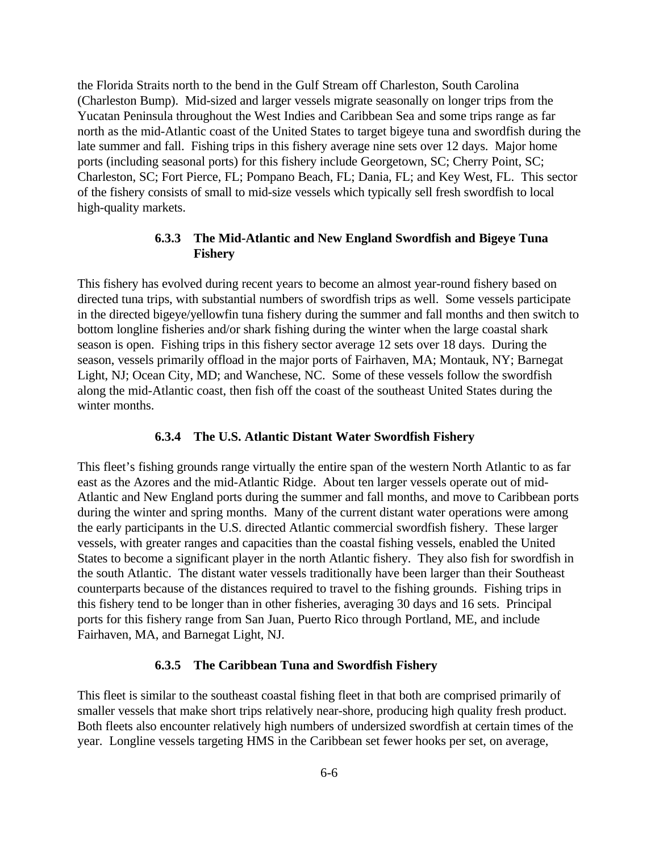the Florida Straits north to the bend in the Gulf Stream off Charleston, South Carolina (Charleston Bump). Mid-sized and larger vessels migrate seasonally on longer trips from the Yucatan Peninsula throughout the West Indies and Caribbean Sea and some trips range as far north as the mid-Atlantic coast of the United States to target bigeye tuna and swordfish during the late summer and fall. Fishing trips in this fishery average nine sets over 12 days. Major home ports (including seasonal ports) for this fishery include Georgetown, SC; Cherry Point, SC; Charleston, SC; Fort Pierce, FL; Pompano Beach, FL; Dania, FL; and Key West, FL. This sector of the fishery consists of small to mid-size vessels which typically sell fresh swordfish to local high-quality markets.

# **6.3.3 The Mid-Atlantic and New England Swordfish and Bigeye Tuna Fishery**

This fishery has evolved during recent years to become an almost year-round fishery based on directed tuna trips, with substantial numbers of swordfish trips as well. Some vessels participate in the directed bigeye/yellowfin tuna fishery during the summer and fall months and then switch to bottom longline fisheries and/or shark fishing during the winter when the large coastal shark season is open. Fishing trips in this fishery sector average 12 sets over 18 days. During the season, vessels primarily offload in the major ports of Fairhaven, MA; Montauk, NY; Barnegat Light, NJ; Ocean City, MD; and Wanchese, NC. Some of these vessels follow the swordfish along the mid-Atlantic coast, then fish off the coast of the southeast United States during the winter months.

#### **6.3.4 The U.S. Atlantic Distant Water Swordfish Fishery**

This fleet's fishing grounds range virtually the entire span of the western North Atlantic to as far east as the Azores and the mid-Atlantic Ridge. About ten larger vessels operate out of mid-Atlantic and New England ports during the summer and fall months, and move to Caribbean ports during the winter and spring months. Many of the current distant water operations were among the early participants in the U.S. directed Atlantic commercial swordfish fishery. These larger vessels, with greater ranges and capacities than the coastal fishing vessels, enabled the United States to become a significant player in the north Atlantic fishery. They also fish for swordfish in the south Atlantic. The distant water vessels traditionally have been larger than their Southeast counterparts because of the distances required to travel to the fishing grounds. Fishing trips in this fishery tend to be longer than in other fisheries, averaging 30 days and 16 sets. Principal ports for this fishery range from San Juan, Puerto Rico through Portland, ME, and include Fairhaven, MA, and Barnegat Light, NJ.

#### **6.3.5 The Caribbean Tuna and Swordfish Fishery**

This fleet is similar to the southeast coastal fishing fleet in that both are comprised primarily of smaller vessels that make short trips relatively near-shore, producing high quality fresh product. Both fleets also encounter relatively high numbers of undersized swordfish at certain times of the year. Longline vessels targeting HMS in the Caribbean set fewer hooks per set, on average,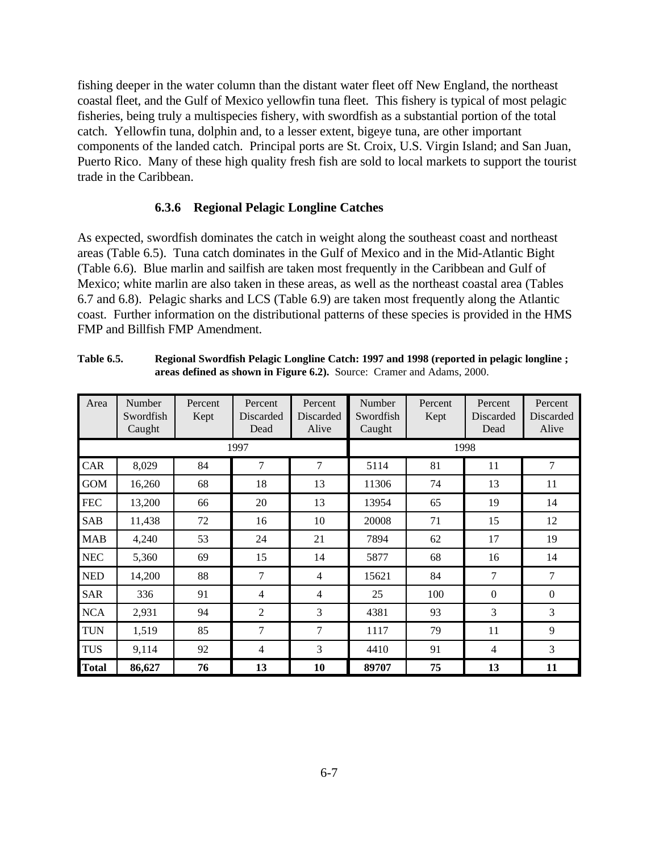fishing deeper in the water column than the distant water fleet off New England, the northeast coastal fleet, and the Gulf of Mexico yellowfin tuna fleet. This fishery is typical of most pelagic fisheries, being truly a multispecies fishery, with swordfish as a substantial portion of the total catch. Yellowfin tuna, dolphin and, to a lesser extent, bigeye tuna, are other important components of the landed catch. Principal ports are St. Croix, U.S. Virgin Island; and San Juan, Puerto Rico. Many of these high quality fresh fish are sold to local markets to support the tourist trade in the Caribbean.

#### **6.3.6 Regional Pelagic Longline Catches**

As expected, swordfish dominates the catch in weight along the southeast coast and northeast areas (Table 6.5). Tuna catch dominates in the Gulf of Mexico and in the Mid-Atlantic Bight (Table 6.6). Blue marlin and sailfish are taken most frequently in the Caribbean and Gulf of Mexico; white marlin are also taken in these areas, as well as the northeast coastal area (Tables 6.7 and 6.8). Pelagic sharks and LCS (Table 6.9) are taken most frequently along the Atlantic coast. Further information on the distributional patterns of these species is provided in the HMS FMP and Billfish FMP Amendment.

| Area         | Number<br>Swordfish<br>Caught | Percent<br>Kept | Percent<br>Discarded<br>Dead | Percent<br>Discarded<br>Alive | Number<br>Swordfish<br>Caught | Percent<br>Kept | Percent<br>Discarded<br>Dead | Percent<br>Discarded<br>Alive |
|--------------|-------------------------------|-----------------|------------------------------|-------------------------------|-------------------------------|-----------------|------------------------------|-------------------------------|
|              |                               |                 | 1997                         |                               |                               |                 | 1998                         |                               |
| CAR          | 8,029                         | 84              | 7                            | 7                             | 5114                          | 81              | 11                           | 7                             |
| <b>GOM</b>   | 16,260                        | 68              | 18                           | 13                            | 11306                         | 74              | 13                           | 11                            |
| <b>FEC</b>   | 13,200                        | 66              | 20                           | 13                            | 13954                         | 65              | 19                           | 14                            |
| <b>SAB</b>   | 11,438                        | 72              | 16                           | 10                            | 20008                         | 71              | 15                           | 12                            |
| <b>MAB</b>   | 4,240                         | 53              | 24                           | 21                            | 7894                          | 62              | 17                           | 19                            |
| <b>NEC</b>   | 5,360                         | 69              | 15                           | 14                            | 5877                          | 68              | 16                           | 14                            |
| <b>NED</b>   | 14,200                        | 88              | $\tau$                       | $\overline{4}$                | 15621                         | 84              | 7                            | $\tau$                        |
| <b>SAR</b>   | 336                           | 91              | $\overline{4}$               | $\overline{4}$                | 25                            | 100             | $\mathbf{0}$                 | $\mathbf{0}$                  |
| <b>NCA</b>   | 2,931                         | 94              | $\overline{2}$               | 3                             | 4381                          | 93              | 3                            | 3                             |
| <b>TUN</b>   | 1,519                         | 85              | 7                            | $\tau$                        | 1117                          | 79              | 11                           | 9                             |
| <b>TUS</b>   | 9,114                         | 92              | $\overline{4}$               | 3                             | 4410                          | 91              | $\overline{4}$               | 3                             |
| <b>Total</b> | 86,627                        | 76              | 13                           | 10                            | 89707                         | 75              | 13                           | 11                            |

**Table 6.5. Regional Swordfish Pelagic Longline Catch: 1997 and 1998 (reported in pelagic longline ; areas defined as shown in Figure 6.2).** Source: Cramer and Adams, 2000.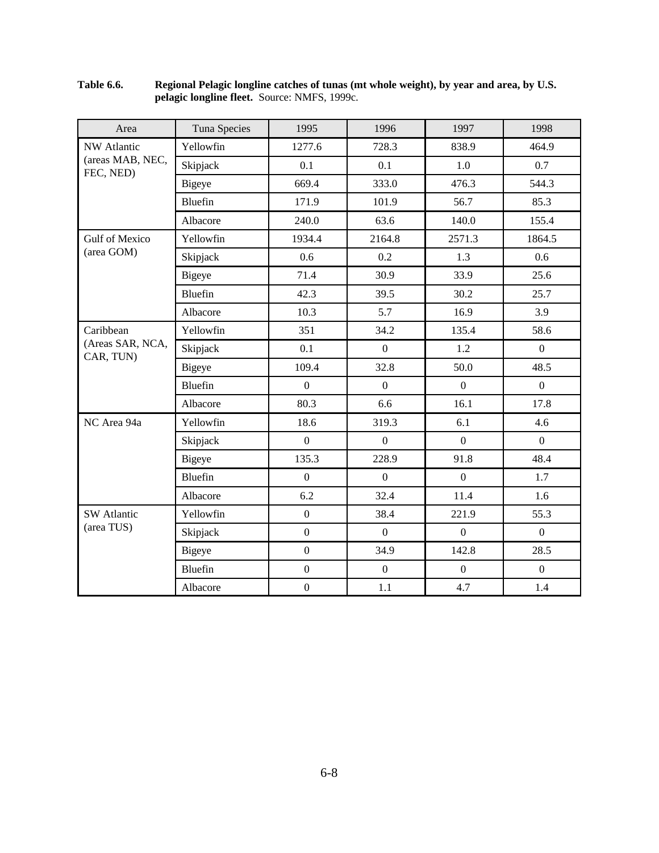| Area                          | Tuna Species   | 1995             | 1996             | 1997             | 1998             |
|-------------------------------|----------------|------------------|------------------|------------------|------------------|
| <b>NW Atlantic</b>            | Yellowfin      | 1277.6           | 728.3            | 838.9            | 464.9            |
| (areas MAB, NEC,<br>FEC, NED) | Skipjack       | 0.1              | 0.1              | 1.0              | 0.7              |
|                               | <b>Bigeye</b>  | 669.4            | 333.0            | 476.3            | 544.3            |
|                               | Bluefin        | 171.9            | 101.9            | 56.7             | 85.3             |
|                               | Albacore       | 240.0            | 63.6             | 140.0            | 155.4            |
| <b>Gulf of Mexico</b>         | Yellowfin      | 1934.4           | 2164.8           | 2571.3           | 1864.5           |
| (area GOM)                    | Skipjack       | 0.6              | 0.2              | 1.3              | 0.6              |
|                               | <b>Bigeye</b>  | 71.4             | 30.9             | 33.9             | 25.6             |
|                               | <b>Bluefin</b> | 42.3             | 39.5             | 30.2             | 25.7             |
|                               | Albacore       | 10.3             | 5.7              | 16.9             | 3.9              |
| Caribbean                     | Yellowfin      | 351              | 34.2             | 135.4            | 58.6             |
| (Areas SAR, NCA,<br>CAR, TUN) | Skipjack       | 0.1              | $\boldsymbol{0}$ | 1.2              | $\boldsymbol{0}$ |
|                               | <b>Bigeye</b>  | 109.4            | 32.8             | 50.0             | 48.5             |
|                               | <b>Bluefin</b> | $\overline{0}$   | $\boldsymbol{0}$ | $\overline{0}$   | $\mathbf{0}$     |
|                               | Albacore       | 80.3             | 6.6              | 16.1             | 17.8             |
| NC Area 94a                   | Yellowfin      | 18.6             | 319.3            | 6.1              | 4.6              |
|                               | Skipjack       | $\boldsymbol{0}$ | $\boldsymbol{0}$ | $\boldsymbol{0}$ | $\boldsymbol{0}$ |
|                               | Bigeye         | 135.3            | 228.9            | 91.8             | 48.4             |
|                               | Bluefin        | $\overline{0}$   | $\overline{0}$   | $\overline{0}$   | 1.7              |
|                               | Albacore       | 6.2              | 32.4             | 11.4             | 1.6              |
| <b>SW</b> Atlantic            | Yellowfin      | $\overline{0}$   | 38.4             | 221.9            | 55.3             |
| (area TUS)                    | Skipjack       | $\mathbf{0}$     | $\mathbf{0}$     | $\overline{0}$   | $\overline{0}$   |
|                               | Bigeye         | $\overline{0}$   | 34.9             | 142.8            | 28.5             |
|                               | <b>Bluefin</b> | $\boldsymbol{0}$ | $\mathbf{0}$     | $\boldsymbol{0}$ | $\overline{0}$   |
|                               | Albacore       | $\boldsymbol{0}$ | 1.1              | 4.7              | 1.4              |

#### **Table 6.6. Regional Pelagic longline catches of tunas (mt whole weight), by year and area, by U.S. pelagic longline fleet.** Source: NMFS, 1999c.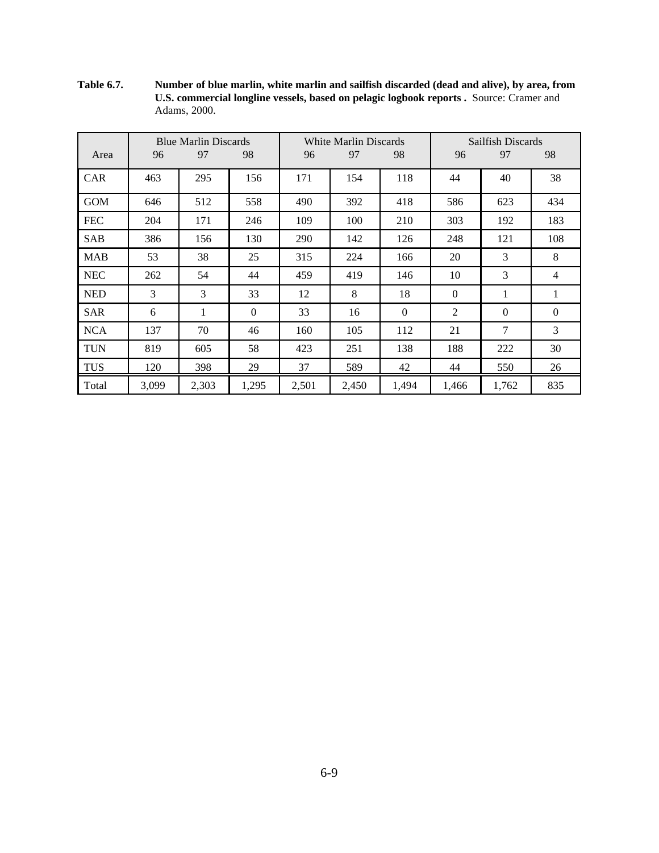**Table 6.7. Number of blue marlin, white marlin and sailfish discarded (dead and alive), by area, from U.S. commercial longline vessels, based on pelagic logbook reports .** Source: Cramer and Adams, 2000.

|            |       | <b>Blue Marlin Discards</b> |              |       | White Marlin Discards |                |              | Sailfish Discards |          |
|------------|-------|-----------------------------|--------------|-------|-----------------------|----------------|--------------|-------------------|----------|
| Area       | 96    | 97                          | 98           | 96    | 97                    | 98             | 96           | 97                | 98       |
| <b>CAR</b> | 463   | 295                         | 156          | 171   | 154                   | 118            | 44           | 40                | 38       |
| <b>GOM</b> | 646   | 512                         | 558          | 490   | 392                   | 418            | 586          | 623               | 434      |
| <b>FEC</b> | 204   | 171                         | 246          | 109   | 100                   | 210            | 303          | 192               | 183      |
| <b>SAB</b> | 386   | 156                         | 130          | 290   | 142                   | 126            | 248          | 121               | 108      |
| <b>MAB</b> | 53    | 38                          | 25           | 315   | 224                   | 166            | 20           | 3                 | 8        |
| NEC        | 262   | 54                          | 44           | 459   | 419                   | 146            | 10           | 3                 | 4        |
| <b>NED</b> | 3     | 3                           | 33           | 12    | 8                     | 18             | $\mathbf{0}$ | 1                 | 1        |
| <b>SAR</b> | 6     | $\mathbf{1}$                | $\mathbf{0}$ | 33    | 16                    | $\overline{0}$ | 2            | $\overline{0}$    | $\Omega$ |
| <b>NCA</b> | 137   | 70                          | 46           | 160   | 105                   | 112            | 21           | 7                 | 3        |
| <b>TUN</b> | 819   | 605                         | 58           | 423   | 251                   | 138            | 188          | 222               | 30       |
| <b>TUS</b> | 120   | 398                         | 29           | 37    | 589                   | 42             | 44           | 550               | 26       |
| Total      | 3,099 | 2,303                       | 1,295        | 2,501 | 2,450                 | 1,494          | 1,466        | 1,762             | 835      |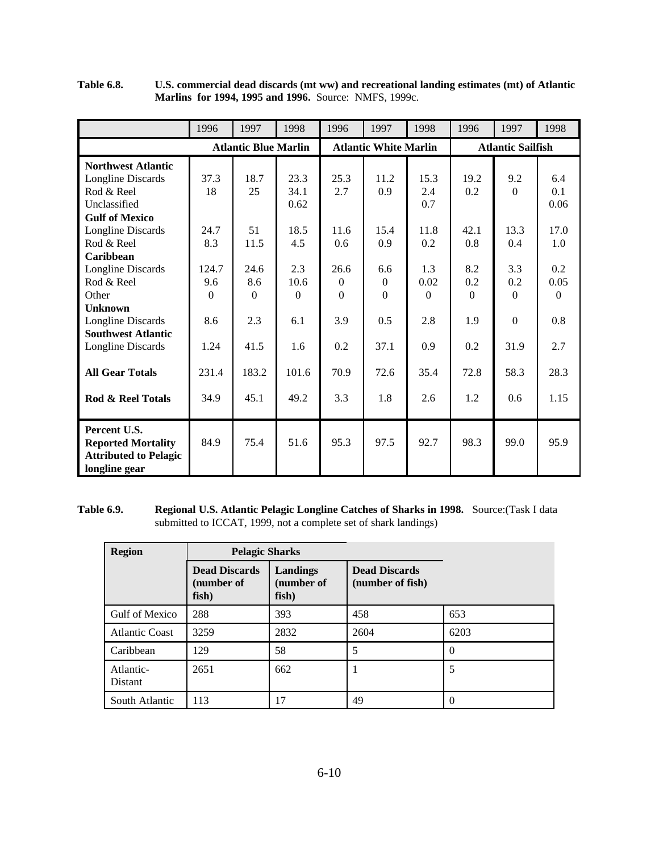|                              | 1996     | 1997                        | 1998     | 1996     | 1997                         | 1998 | 1996     | 1997                     | 1998     |
|------------------------------|----------|-----------------------------|----------|----------|------------------------------|------|----------|--------------------------|----------|
|                              |          | <b>Atlantic Blue Marlin</b> |          |          | <b>Atlantic White Marlin</b> |      |          | <b>Atlantic Sailfish</b> |          |
| <b>Northwest Atlantic</b>    |          |                             |          |          |                              |      |          |                          |          |
| Longline Discards            | 37.3     | 18.7                        | 23.3     | 25.3     | 11.2                         | 15.3 | 19.2     | 9.2                      | 6.4      |
| Rod & Reel                   | 18       | 25                          | 34.1     | 2.7      | 0.9                          | 2.4  | 0.2      | $\Omega$                 | 0.1      |
| Unclassified                 |          |                             | 0.62     |          |                              | 0.7  |          |                          | 0.06     |
| <b>Gulf of Mexico</b>        |          |                             |          |          |                              |      |          |                          |          |
| Longline Discards            | 24.7     | 51                          | 18.5     | 11.6     | 15.4                         | 11.8 | 42.1     | 13.3                     | 17.0     |
| Rod & Reel                   | 8.3      | 11.5                        | 4.5      | 0.6      | 0.9                          | 0.2  | 0.8      | 0.4                      | 1.0      |
| Caribbean                    |          |                             |          |          |                              |      |          |                          |          |
| Longline Discards            | 124.7    | 24.6                        | 2.3      | 26.6     | 6.6                          | 1.3  | 8.2      | 3.3                      | 0.2      |
| Rod & Reel                   | 9.6      | 8.6                         | 10.6     | $\Omega$ | $\Omega$                     | 0.02 | 0.2      | 0.2                      | 0.05     |
| Other                        | $\Omega$ | $\Omega$                    | $\Omega$ | $\Omega$ | $\Omega$                     | 0    | $\Omega$ | $\Omega$                 | $\Omega$ |
| <b>Unknown</b>               |          |                             |          |          |                              |      |          |                          |          |
| Longline Discards            | 8.6      | 2.3                         | 6.1      | 3.9      | 0.5                          | 2.8  | 1.9      | $\Omega$                 | 0.8      |
| <b>Southwest Atlantic</b>    |          |                             |          |          |                              |      |          |                          |          |
| Longline Discards            | 1.24     | 41.5                        | 1.6      | 0.2      | 37.1                         | 0.9  | 0.2      | 31.9                     | 2.7      |
|                              |          |                             |          |          |                              |      |          |                          |          |
| <b>All Gear Totals</b>       | 231.4    | 183.2                       | 101.6    | 70.9     | 72.6                         | 35.4 | 72.8     | 58.3                     | 28.3     |
|                              |          |                             |          |          |                              |      |          |                          |          |
| Rod & Reel Totals            | 34.9     | 45.1                        | 49.2     | 3.3      | 1.8                          | 2.6  | 1.2      | 0.6                      | 1.15     |
| Percent U.S.                 |          |                             |          |          |                              |      |          |                          |          |
| <b>Reported Mortality</b>    | 84.9     | 75.4                        | 51.6     | 95.3     | 97.5                         | 92.7 | 98.3     | 99.0                     | 95.9     |
| <b>Attributed to Pelagic</b> |          |                             |          |          |                              |      |          |                          |          |
| longline gear                |          |                             |          |          |                              |      |          |                          |          |

**Table 6.8. U.S. commercial dead discards (mt ww) and recreational landing estimates (mt) of Atlantic Marlins for 1994, 1995 and 1996.** Source: NMFS, 1999c.

## **Table 6.9. Regional U.S. Atlantic Pelagic Longline Catches of Sharks in 1998.** Source:(Task I data submitted to ICCAT, 1999, not a complete set of shark landings)

| <b>Region</b>         | <b>Pelagic Sharks</b>                       |                                 |                                          |          |
|-----------------------|---------------------------------------------|---------------------------------|------------------------------------------|----------|
|                       | <b>Dead Discards</b><br>(number of<br>fish) | Landings<br>(number of<br>fish) | <b>Dead Discards</b><br>(number of fish) |          |
| Gulf of Mexico        | 288                                         | 393                             | 458                                      | 653      |
| <b>Atlantic Coast</b> | 3259                                        | 2832                            | 2604                                     | 6203     |
| Caribbean             | 129                                         | 58                              | 5                                        | $\Omega$ |
| Atlantic-<br>Distant  | 2651                                        | 662                             | 1                                        | 5        |
| South Atlantic        | 113                                         | 17                              | 49                                       | $\Omega$ |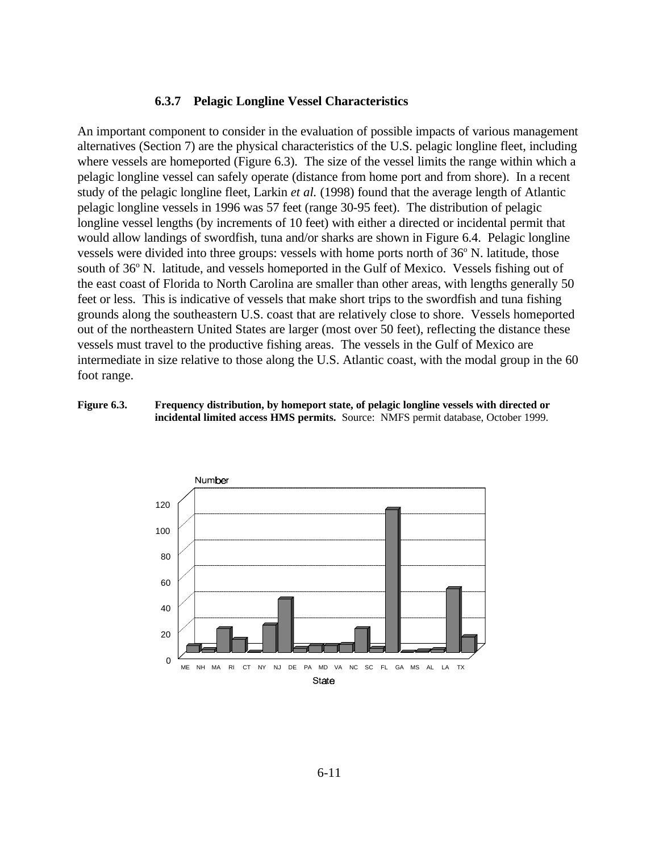#### **6.3.7 Pelagic Longline Vessel Characteristics**

An important component to consider in the evaluation of possible impacts of various management alternatives (Section 7) are the physical characteristics of the U.S. pelagic longline fleet, including where vessels are homeported (Figure 6.3). The size of the vessel limits the range within which a pelagic longline vessel can safely operate (distance from home port and from shore). In a recent study of the pelagic longline fleet, Larkin *et al.* (1998) found that the average length of Atlantic pelagic longline vessels in 1996 was 57 feet (range 30-95 feet). The distribution of pelagic longline vessel lengths (by increments of 10 feet) with either a directed or incidental permit that would allow landings of swordfish, tuna and/or sharks are shown in Figure 6.4. Pelagic longline vessels were divided into three groups: vessels with home ports north of 36° N. latitude, those south of 36° N. latitude, and vessels homeported in the Gulf of Mexico. Vessels fishing out of the east coast of Florida to North Carolina are smaller than other areas, with lengths generally 50 feet or less. This is indicative of vessels that make short trips to the swordfish and tuna fishing grounds along the southeastern U.S. coast that are relatively close to shore. Vessels homeported out of the northeastern United States are larger (most over 50 feet), reflecting the distance these vessels must travel to the productive fishing areas. The vessels in the Gulf of Mexico are intermediate in size relative to those along the U.S. Atlantic coast, with the modal group in the 60 foot range.

#### **Figure 6.3. Frequency distribution, by homeport state, of pelagic longline vessels with directed or incidental limited access HMS permits.** Source: NMFS permit database, October 1999.

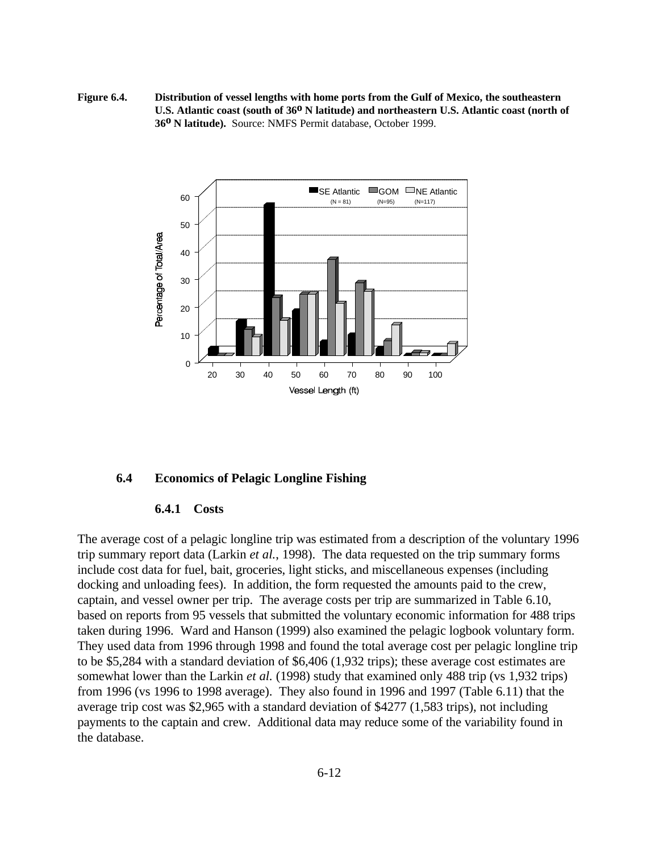**Figure 6.4. Distribution of vessel lengths with home ports from the Gulf of Mexico, the southeastern**  U.S. Atlantic coast (south of 36<sup>0</sup> N latitude) and northeastern U.S. Atlantic coast (north of **36o N latitude).** Source: NMFS Permit database, October 1999.



#### **6.4 Economics of Pelagic Longline Fishing**

#### **6.4.1 Costs**

The average cost of a pelagic longline trip was estimated from a description of the voluntary 1996 trip summary report data (Larkin *et al.*, 1998). The data requested on the trip summary forms include cost data for fuel, bait, groceries, light sticks, and miscellaneous expenses (including docking and unloading fees). In addition, the form requested the amounts paid to the crew, captain, and vessel owner per trip. The average costs per trip are summarized in Table 6.10, based on reports from 95 vessels that submitted the voluntary economic information for 488 trips taken during 1996. Ward and Hanson (1999) also examined the pelagic logbook voluntary form. They used data from 1996 through 1998 and found the total average cost per pelagic longline trip to be \$5,284 with a standard deviation of \$6,406 (1,932 trips); these average cost estimates are somewhat lower than the Larkin *et al.* (1998) study that examined only 488 trip (vs 1,932 trips) from 1996 (vs 1996 to 1998 average). They also found in 1996 and 1997 (Table 6.11) that the average trip cost was \$2,965 with a standard deviation of \$4277 (1,583 trips), not including payments to the captain and crew. Additional data may reduce some of the variability found in the database.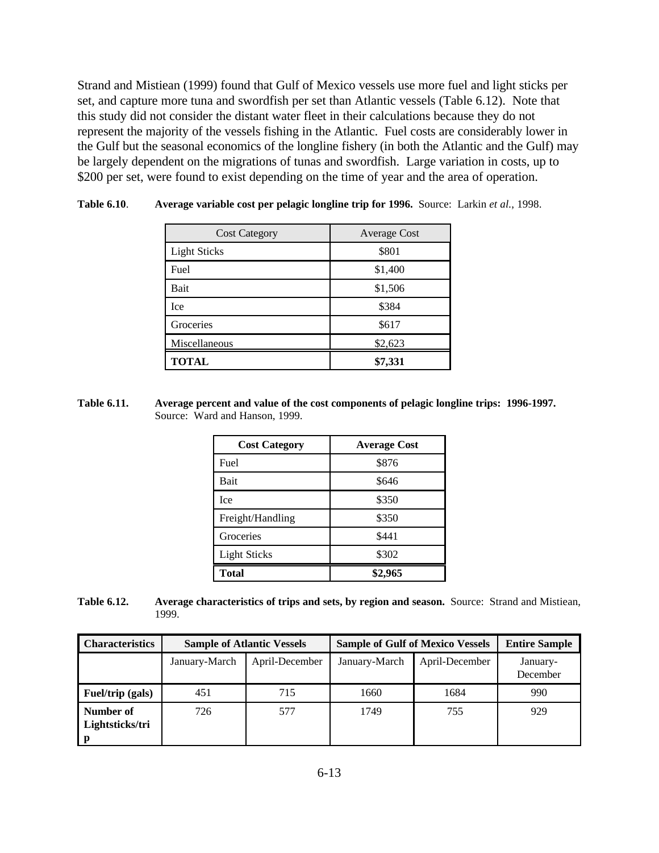Strand and Mistiean (1999) found that Gulf of Mexico vessels use more fuel and light sticks per set, and capture more tuna and swordfish per set than Atlantic vessels (Table 6.12). Note that this study did not consider the distant water fleet in their calculations because they do not represent the majority of the vessels fishing in the Atlantic. Fuel costs are considerably lower in the Gulf but the seasonal economics of the longline fishery (in both the Atlantic and the Gulf) may be largely dependent on the migrations of tunas and swordfish. Large variation in costs, up to \$200 per set, were found to exist depending on the time of year and the area of operation.

| <b>Cost Category</b> | <b>Average Cost</b> |
|----------------------|---------------------|
| <b>Light Sticks</b>  | \$801               |
| Fuel                 | \$1,400             |
| Bait                 | \$1,506             |
| Ice                  | \$384               |
| Groceries            | \$617               |
| Miscellaneous        | \$2,623             |
| <b>TOTAL</b>         | \$7,331             |

| <b>Table 6.10.</b><br>Average variable cost per pelagic longline trip for 1996. Source: Larkin et al., 1998. |  |
|--------------------------------------------------------------------------------------------------------------|--|
|--------------------------------------------------------------------------------------------------------------|--|

**Table 6.11. Average percent and value of the cost components of pelagic longline trips: 1996-1997.**  Source: Ward and Hanson, 1999.

| <b>Cost Category</b> | <b>Average Cost</b> |
|----------------------|---------------------|
| Fuel                 | \$876               |
| Bait                 | \$646               |
| Ice                  | \$350               |
| Freight/Handling     | \$350               |
| Groceries            | \$441               |
| <b>Light Sticks</b>  | \$302               |
| <b>Total</b>         | \$2,965             |

**Table 6.12. Average characteristics of trips and sets, by region and season.** Source: Strand and Mistiean, 1999.

| <b>Characteristics</b>       |               | <b>Sample of Atlantic Vessels</b> | <b>Sample of Gulf of Mexico Vessels</b> | <b>Entire Sample</b> |                      |
|------------------------------|---------------|-----------------------------------|-----------------------------------------|----------------------|----------------------|
|                              | January-March | April-December                    | January-March                           | April-December       | January-<br>December |
| Fuel/trip (gals)             | 451           | 715                               | 1660                                    | 1684                 | 990                  |
| Number of<br>Lightsticks/tri | 726           | 577                               | 1749                                    | 755                  | 929                  |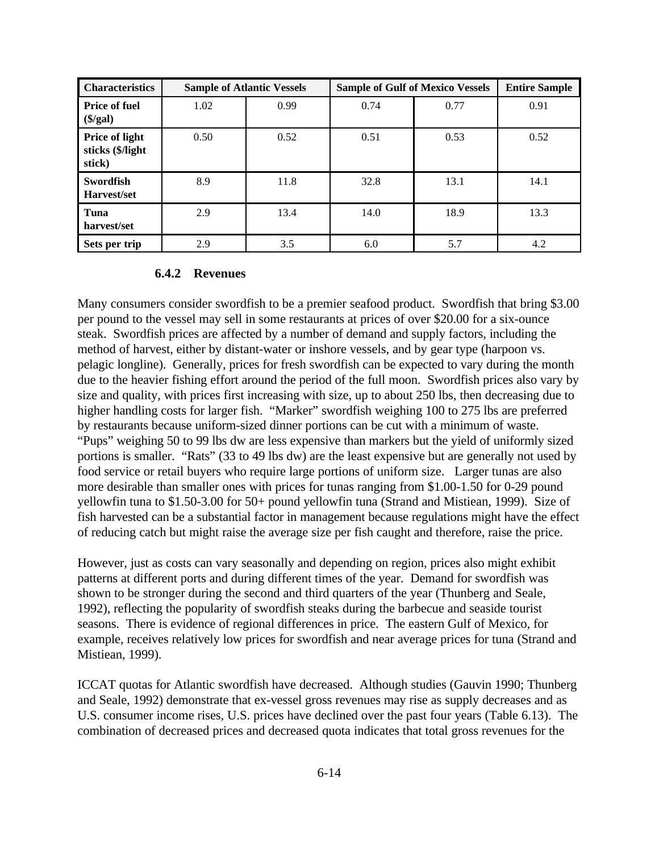| <b>Characteristics</b>                       |      | <b>Sample of Atlantic Vessels</b> | <b>Sample of Gulf of Mexico Vessels</b> | <b>Entire Sample</b> |      |
|----------------------------------------------|------|-----------------------------------|-----------------------------------------|----------------------|------|
| <b>Price of fuel</b><br>$(\frac{1}{2}$       | 1.02 | 0.99                              | 0.74                                    | 0.77                 | 0.91 |
| Price of light<br>sticks (\$/light<br>stick) | 0.50 | 0.52                              | 0.51                                    | 0.53                 | 0.52 |
| Swordfish<br>Harvest/set                     | 8.9  | 11.8                              | 32.8                                    | 13.1                 | 14.1 |
| Tuna<br>harvest/set                          | 2.9  | 13.4                              | 14.0                                    | 18.9                 | 13.3 |
| Sets per trip                                | 2.9  | 3.5                               | 6.0                                     | 5.7                  | 4.2  |

## **6.4.2 Revenues**

Many consumers consider swordfish to be a premier seafood product. Swordfish that bring \$3.00 per pound to the vessel may sell in some restaurants at prices of over \$20.00 for a six-ounce steak. Swordfish prices are affected by a number of demand and supply factors, including the method of harvest, either by distant-water or inshore vessels, and by gear type (harpoon vs. pelagic longline). Generally, prices for fresh swordfish can be expected to vary during the month due to the heavier fishing effort around the period of the full moon. Swordfish prices also vary by size and quality, with prices first increasing with size, up to about 250 lbs, then decreasing due to higher handling costs for larger fish. "Marker" swordfish weighing 100 to 275 lbs are preferred by restaurants because uniform-sized dinner portions can be cut with a minimum of waste. "Pups" weighing 50 to 99 lbs dw are less expensive than markers but the yield of uniformly sized portions is smaller. "Rats" (33 to 49 lbs dw) are the least expensive but are generally not used by food service or retail buyers who require large portions of uniform size. Larger tunas are also more desirable than smaller ones with prices for tunas ranging from \$1.00-1.50 for 0-29 pound yellowfin tuna to \$1.50-3.00 for 50+ pound yellowfin tuna (Strand and Mistiean, 1999). Size of fish harvested can be a substantial factor in management because regulations might have the effect of reducing catch but might raise the average size per fish caught and therefore, raise the price.

However, just as costs can vary seasonally and depending on region, prices also might exhibit patterns at different ports and during different times of the year. Demand for swordfish was shown to be stronger during the second and third quarters of the year (Thunberg and Seale, 1992), reflecting the popularity of swordfish steaks during the barbecue and seaside tourist seasons. There is evidence of regional differences in price. The eastern Gulf of Mexico, for example, receives relatively low prices for swordfish and near average prices for tuna (Strand and Mistiean, 1999).

ICCAT quotas for Atlantic swordfish have decreased. Although studies (Gauvin 1990; Thunberg and Seale, 1992) demonstrate that ex-vessel gross revenues may rise as supply decreases and as U.S. consumer income rises, U.S. prices have declined over the past four years (Table 6.13). The combination of decreased prices and decreased quota indicates that total gross revenues for the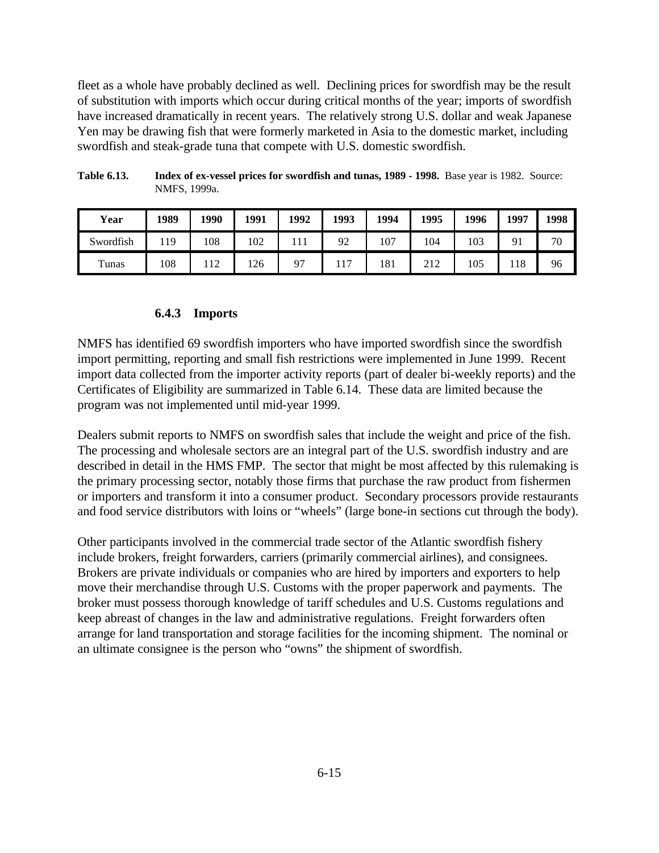fleet as a whole have probably declined as well. Declining prices for swordfish may be the result of substitution with imports which occur during critical months of the year; imports of swordfish have increased dramatically in recent years. The relatively strong U.S. dollar and weak Japanese Yen may be drawing fish that were formerly marketed in Asia to the domestic market, including swordfish and steak-grade tuna that compete with U.S. domestic swordfish.

| Year      | 1989 | 1990 | 1991 | 1992 | 1993 | 1994 | 1995       | 1996 | 1997 | 1998 |
|-----------|------|------|------|------|------|------|------------|------|------|------|
| Swordfish | 19   | 108  | 102  |      | 92   | 107  | 104        | 103  | 91   | 70   |
| Tunas     | 108  | 112  | 126  | 97   | 117  | 181  | າາາ<br>414 | 105  | 118  | 96   |

**Table 6.13. Index of ex-vessel prices for swordfish and tunas, 1989 - 1998.** Base year is 1982. Source: NMFS, 1999a.

# **6.4.3 Imports**

NMFS has identified 69 swordfish importers who have imported swordfish since the swordfish import permitting, reporting and small fish restrictions were implemented in June 1999. Recent import data collected from the importer activity reports (part of dealer bi-weekly reports) and the Certificates of Eligibility are summarized in Table 6.14. These data are limited because the program was not implemented until mid-year 1999.

Dealers submit reports to NMFS on swordfish sales that include the weight and price of the fish. The processing and wholesale sectors are an integral part of the U.S. swordfish industry and are described in detail in the HMS FMP. The sector that might be most affected by this rulemaking is the primary processing sector, notably those firms that purchase the raw product from fishermen or importers and transform it into a consumer product. Secondary processors provide restaurants and food service distributors with loins or "wheels" (large bone-in sections cut through the body).

Other participants involved in the commercial trade sector of the Atlantic swordfish fishery include brokers, freight forwarders, carriers (primarily commercial airlines), and consignees. Brokers are private individuals or companies who are hired by importers and exporters to help move their merchandise through U.S. Customs with the proper paperwork and payments. The broker must possess thorough knowledge of tariff schedules and U.S. Customs regulations and keep abreast of changes in the law and administrative regulations. Freight forwarders often arrange for land transportation and storage facilities for the incoming shipment. The nominal or an ultimate consignee is the person who "owns" the shipment of swordfish.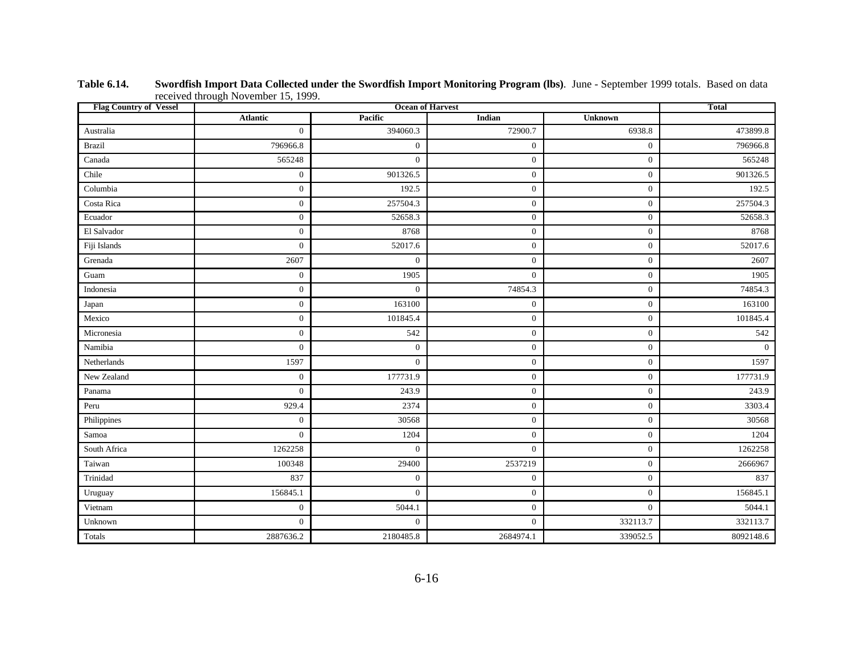| <b>Flag Country of Vessel</b> |                  | <b>Total</b>     |                  |                  |           |
|-------------------------------|------------------|------------------|------------------|------------------|-----------|
|                               | <b>Atlantic</b>  | Pacific          | Indian           | <b>Unknown</b>   |           |
| Australia                     | $\overline{0}$   | 394060.3         | 72900.7          | 6938.8           | 473899.8  |
| <b>Brazil</b>                 | 796966.8         | $\boldsymbol{0}$ | $\mathbf{0}$     | $\boldsymbol{0}$ | 796966.8  |
| Canada                        | 565248           | $\mathbf{0}$     | $\mathbf{0}$     | $\boldsymbol{0}$ | 565248    |
| Chile                         | $\boldsymbol{0}$ | 901326.5         | $\mathbf{0}$     | $\mathbf{0}$     | 901326.5  |
| Columbia                      | $\boldsymbol{0}$ | 192.5            | $\mathbf{0}$     | $\mathbf{0}$     | 192.5     |
| Costa Rica                    | $\boldsymbol{0}$ | 257504.3         | $\mathbf{0}$     | $\mathbf{0}$     | 257504.3  |
| Ecuador                       | $\overline{0}$   | 52658.3          | $\mathbf{0}$     | $\boldsymbol{0}$ | 52658.3   |
| El Salvador                   | $\boldsymbol{0}$ | 8768             | $\boldsymbol{0}$ | $\boldsymbol{0}$ | 8768      |
| Fiji Islands                  | $\overline{0}$   | 52017.6          | $\mathbf{0}$     | $\mathbf{0}$     | 52017.6   |
| Grenada                       | 2607             | $\mathbf{0}$     | $\mathbf{0}$     | $\mathbf{0}$     | 2607      |
| Guam                          | $\mathbf{0}$     | 1905             | $\mathbf{0}$     | $\boldsymbol{0}$ | 1905      |
| Indonesia                     | $\boldsymbol{0}$ | $\mathbf{0}$     | 74854.3          | $\boldsymbol{0}$ | 74854.3   |
| Japan                         | $\overline{0}$   | 163100           | $\mathbf{0}$     | $\mathbf{0}$     | 163100    |
| Mexico                        | $\boldsymbol{0}$ | 101845.4         | $\mathbf{0}$     | $\mathbf{0}$     | 101845.4  |
| Micronesia                    | $\boldsymbol{0}$ | 542              | $\mathbf{0}$     | $\boldsymbol{0}$ | 542       |
| Namibia                       | $\boldsymbol{0}$ | $\boldsymbol{0}$ | $\mathbf{0}$     | $\boldsymbol{0}$ | $\Omega$  |
| Netherlands                   | 1597             | $\mathbf{0}$     | $\mathbf{0}$     | $\mathbf{0}$     | 1597      |
| New Zealand                   | $\boldsymbol{0}$ | 177731.9         | $\boldsymbol{0}$ | $\mathbf{0}$     | 177731.9  |
| Panama                        | $\boldsymbol{0}$ | 243.9            | $\boldsymbol{0}$ | $\boldsymbol{0}$ | 243.9     |
| Peru                          | 929.4            | 2374             | $\mathbf{0}$     | $\boldsymbol{0}$ | 3303.4    |
| Philippines                   | $\boldsymbol{0}$ | 30568            | $\mathbf{0}$     | $\boldsymbol{0}$ | 30568     |
| Samoa                         | $\overline{0}$   | 1204             | $\mathbf{0}$     | $\mathbf{0}$     | 1204      |
| South Africa                  | 1262258          | $\mathbf{0}$     | $\mathbf{0}$     | $\mathbf{0}$     | 1262258   |
| Taiwan                        | 100348           | 29400            | 2537219          | $\boldsymbol{0}$ | 2666967   |
| Trinidad                      | 837              | $\boldsymbol{0}$ | $\mathbf{0}$     | $\boldsymbol{0}$ | 837       |
| Uruguay                       | 156845.1         | $\mathbf{0}$     | $\mathbf{0}$     | $\mathbf{0}$     | 156845.1  |
| Vietnam                       | $\boldsymbol{0}$ | 5044.1           | $\mathbf{0}$     | $\mathbf{0}$     | 5044.1    |
| Unknown                       | $\boldsymbol{0}$ | $\boldsymbol{0}$ | $\mathbf{0}$     | 332113.7         | 332113.7  |
| Totals                        | 2887636.2        | 2180485.8        | 2684974.1        | 339052.5         | 8092148.6 |

**Table 6.14. Swordfish Import Data Collected under the Swordfish Import Monitoring Program (lbs)**. June - September 1999 totals. Based on data received through November 15, 1999.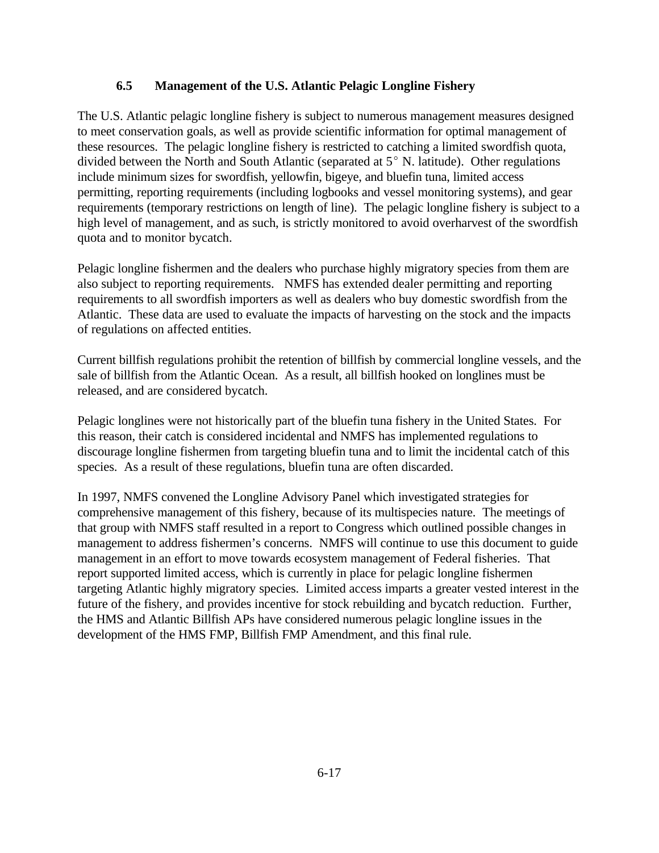# **6.5 Management of the U.S. Atlantic Pelagic Longline Fishery**

The U.S. Atlantic pelagic longline fishery is subject to numerous management measures designed to meet conservation goals, as well as provide scientific information for optimal management of these resources. The pelagic longline fishery is restricted to catching a limited swordfish quota, divided between the North and South Atlantic (separated at  $5^{\circ}$  N. latitude). Other regulations include minimum sizes for swordfish, yellowfin, bigeye, and bluefin tuna, limited access permitting, reporting requirements (including logbooks and vessel monitoring systems), and gear requirements (temporary restrictions on length of line). The pelagic longline fishery is subject to a high level of management, and as such, is strictly monitored to avoid overharvest of the swordfish quota and to monitor bycatch.

Pelagic longline fishermen and the dealers who purchase highly migratory species from them are also subject to reporting requirements. NMFS has extended dealer permitting and reporting requirements to all swordfish importers as well as dealers who buy domestic swordfish from the Atlantic. These data are used to evaluate the impacts of harvesting on the stock and the impacts of regulations on affected entities.

Current billfish regulations prohibit the retention of billfish by commercial longline vessels, and the sale of billfish from the Atlantic Ocean. As a result, all billfish hooked on longlines must be released, and are considered bycatch.

Pelagic longlines were not historically part of the bluefin tuna fishery in the United States. For this reason, their catch is considered incidental and NMFS has implemented regulations to discourage longline fishermen from targeting bluefin tuna and to limit the incidental catch of this species. As a result of these regulations, bluefin tuna are often discarded.

In 1997, NMFS convened the Longline Advisory Panel which investigated strategies for comprehensive management of this fishery, because of its multispecies nature. The meetings of that group with NMFS staff resulted in a report to Congress which outlined possible changes in management to address fishermen's concerns. NMFS will continue to use this document to guide management in an effort to move towards ecosystem management of Federal fisheries. That report supported limited access, which is currently in place for pelagic longline fishermen targeting Atlantic highly migratory species. Limited access imparts a greater vested interest in the future of the fishery, and provides incentive for stock rebuilding and bycatch reduction. Further, the HMS and Atlantic Billfish APs have considered numerous pelagic longline issues in the development of the HMS FMP, Billfish FMP Amendment, and this final rule.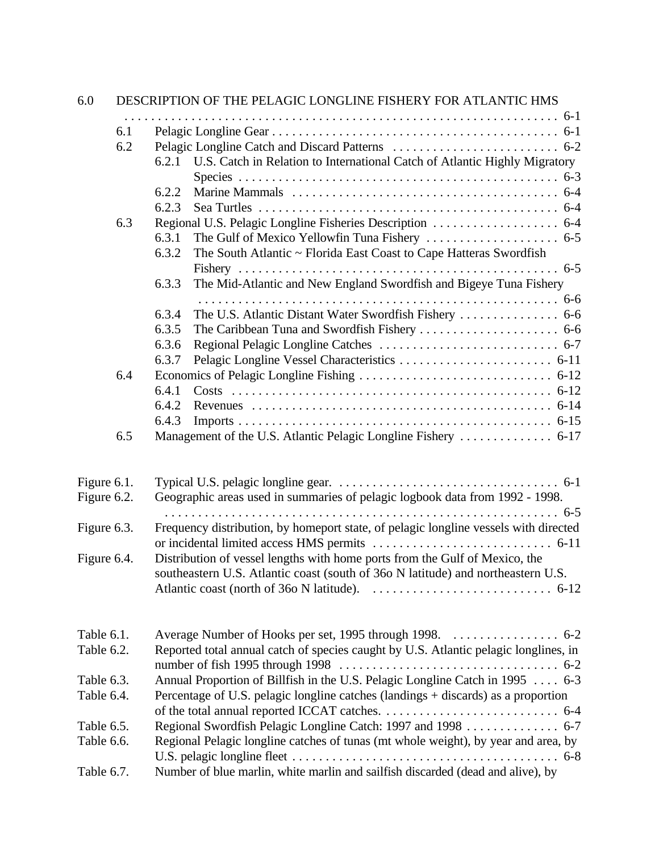| 6.0         |     | DESCRIPTION OF THE PELAGIC LONGLINE FISHERY FOR ATLANTIC HMS                         |
|-------------|-----|--------------------------------------------------------------------------------------|
|             |     |                                                                                      |
|             | 6.1 |                                                                                      |
|             | 6.2 |                                                                                      |
|             |     | U.S. Catch in Relation to International Catch of Atlantic Highly Migratory<br>6.2.1  |
|             |     |                                                                                      |
|             |     | 6.2.2                                                                                |
|             | 6.3 | 6.2.3                                                                                |
|             |     | 6.3.1                                                                                |
|             |     | The South Atlantic ~ Florida East Coast to Cape Hatteras Swordfish<br>6.3.2          |
|             |     |                                                                                      |
|             |     | The Mid-Atlantic and New England Swordfish and Bigeye Tuna Fishery<br>6.3.3          |
|             |     |                                                                                      |
|             |     | 6.3.4                                                                                |
|             |     | 6.3.5                                                                                |
|             |     | 6.3.6                                                                                |
|             |     | 6.3.7                                                                                |
|             | 6.4 |                                                                                      |
|             |     | 6.4.1                                                                                |
|             |     | 6.4.2                                                                                |
|             |     | 6.4.3                                                                                |
|             | 6.5 |                                                                                      |
| Figure 6.1. |     |                                                                                      |
| Figure 6.2. |     | Geographic areas used in summaries of pelagic logbook data from 1992 - 1998.         |
|             |     |                                                                                      |
| Figure 6.3. |     | Frequency distribution, by homeport state, of pelagic longline vessels with directed |
|             |     |                                                                                      |
| Figure 6.4. |     | Distribution of vessel lengths with home ports from the Gulf of Mexico, the          |
|             |     | southeastern U.S. Atlantic coast (south of 360 N latitude) and northeastern U.S.     |
|             |     |                                                                                      |
| Table 6.1.  |     |                                                                                      |
| Table 6.2.  |     | Reported total annual catch of species caught by U.S. Atlantic pelagic longlines, in |
|             |     |                                                                                      |
| Table 6.3.  |     | Annual Proportion of Billfish in the U.S. Pelagic Longline Catch in 1995  6-3        |
| Table 6.4.  |     | Percentage of U.S. pelagic longline catches (landings + discards) as a proportion    |
|             |     |                                                                                      |
| Table 6.5.  |     | Regional Swordfish Pelagic Longline Catch: 1997 and 1998 6-7                         |
| Table 6.6.  |     | Regional Pelagic longline catches of tunas (mt whole weight), by year and area, by   |
| Table 6.7.  |     | Number of blue marlin, white marlin and sailfish discarded (dead and alive), by      |